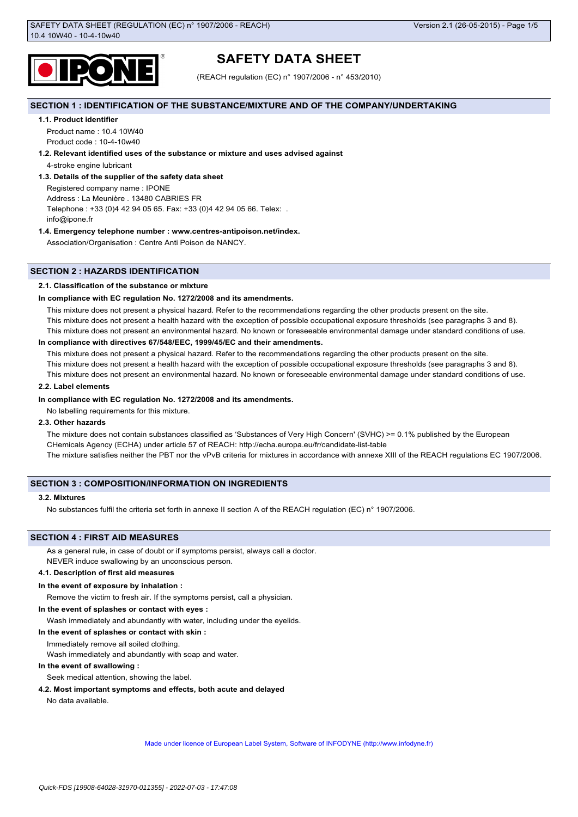

# **SAFETY DATA SHEET**

(REACH regulation (EC) n° 1907/2006 - n° 453/2010)

### **SECTION 1 : IDENTIFICATION OF THE SUBSTANCE/MIXTURE AND OF THE COMPANY/UNDERTAKING**

#### **1.1. Product identifier**

Product name : 10.4 10W40 Product code : 10-4-10w40

### **1.2. Relevant identified uses of the substance or mixture and uses advised against**

4-stroke engine lubricant

### **1.3. Details of the supplier of the safety data sheet**

Registered company name : IPONE Address : La Meunière . 13480 CABRIES FR

Telephone : +33 (0)4 42 94 05 65. Fax: +33 (0)4 42 94 05 66. Telex: . info@ipone.fr

### **1.4. Emergency telephone number : www.centres-antipoison.net/index.**

Association/Organisation : Centre Anti Poison de NANCY.

### **SECTION 2 : HAZARDS IDENTIFICATION**

#### **2.1. Classification of the substance or mixture**

#### **In compliance with EC regulation No. 1272/2008 and its amendments.**

This mixture does not present a physical hazard. Refer to the recommendations regarding the other products present on the site. This mixture does not present a health hazard with the exception of possible occupational exposure thresholds (see paragraphs 3 and 8). This mixture does not present an environmental hazard. No known or foreseeable environmental damage under standard conditions of use.

#### **In compliance with directives 67/548/EEC, 1999/45/EC and their amendments.**

This mixture does not present a physical hazard. Refer to the recommendations regarding the other products present on the site. This mixture does not present a health hazard with the exception of possible occupational exposure thresholds (see paragraphs 3 and 8). This mixture does not present an environmental hazard. No known or foreseeable environmental damage under standard conditions of use.

#### **2.2. Label elements**

#### **In compliance with EC regulation No. 1272/2008 and its amendments.**

No labelling requirements for this mixture.

### **2.3. Other hazards**

The mixture does not contain substances classified as 'Substances of Very High Concern' (SVHC) >= 0.1% published by the European CHemicals Agency (ECHA) under article 57 of REACH: http://echa.europa.eu/fr/candidate-list-table The mixture satisfies neither the PBT nor the vPvB criteria for mixtures in accordance with annexe XIII of the REACH regulations EC 1907/2006.

#### **SECTION 3 : COMPOSITION/INFORMATION ON INGREDIENTS**

#### **3.2. Mixtures**

No substances fulfil the criteria set forth in annexe II section A of the REACH regulation (EC) n° 1907/2006.

#### **SECTION 4 : FIRST AID MEASURES**

As a general rule, in case of doubt or if symptoms persist, always call a doctor.

NEVER induce swallowing by an unconscious person.

### **4.1. Description of first aid measures**

### **In the event of exposure by inhalation :**

Remove the victim to fresh air. If the symptoms persist, call a physician.

### **In the event of splashes or contact with eyes :**

Wash immediately and abundantly with water, including under the eyelids.

#### **In the event of splashes or contact with skin :**

Immediately remove all soiled clothing.

Wash immediately and abundantly with soap and water.

# **In the event of swallowing :**

Seek medical attention, showing the label.

### **4.2. Most important symptoms and effects, both acute and delayed**

No data available.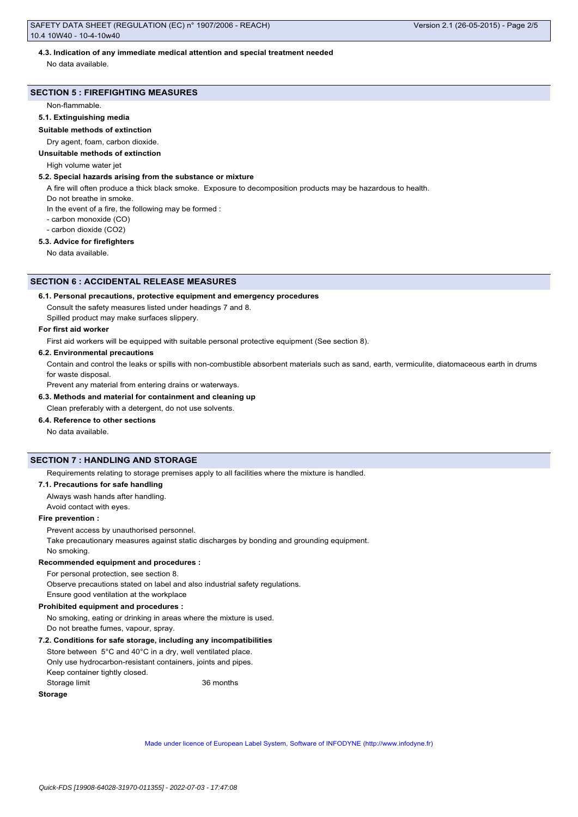# **4.3. Indication of any immediate medical attention and special treatment needed**

No data available.

### **SECTION 5 : FIREFIGHTING MEASURES**

Non-flammable.

### **5.1. Extinguishing media**

**Suitable methods of extinction**

# Dry agent, foam, carbon dioxide.

# **Unsuitable methods of extinction**

High volume water jet

### **5.2. Special hazards arising from the substance or mixture**

A fire will often produce a thick black smoke. Exposure to decomposition products may be hazardous to health.

Do not breathe in smoke.

In the event of a fire, the following may be formed :

- carbon monoxide (CO)

- carbon dioxide (CO2)

# **5.3. Advice for firefighters**

No data available.

### **SECTION 6 : ACCIDENTAL RELEASE MEASURES**

#### **6.1. Personal precautions, protective equipment and emergency procedures**

Consult the safety measures listed under headings 7 and 8.

Spilled product may make surfaces slippery.

# **For first aid worker**

First aid workers will be equipped with suitable personal protective equipment (See section 8).

### **6.2. Environmental precautions**

Contain and control the leaks or spills with non-combustible absorbent materials such as sand, earth, vermiculite, diatomaceous earth in drums for waste disposal.

Prevent any material from entering drains or waterways.

**6.3. Methods and material for containment and cleaning up**

Clean preferably with a detergent, do not use solvents.

### **6.4. Reference to other sections**

No data available.

# **SECTION 7 : HANDLING AND STORAGE**

Requirements relating to storage premises apply to all facilities where the mixture is handled.

### **7.1. Precautions for safe handling**

Always wash hands after handling.

Avoid contact with eyes.

### **Fire prevention :**

Prevent access by unauthorised personnel.

Take precautionary measures against static discharges by bonding and grounding equipment.

#### No smoking.

#### **Recommended equipment and procedures :**

For personal protection, see section 8.

Observe precautions stated on label and also industrial safety regulations.

Ensure good ventilation at the workplace

### **Prohibited equipment and procedures :**

No smoking, eating or drinking in areas where the mixture is used. Do not breathe fumes, vapour, spray.

### **7.2. Conditions for safe storage, including any incompatibilities**

Store between 5°C and 40°C in a dry, well ventilated place. Only use hydrocarbon-resistant containers, joints and pipes. Keep container tightly closed. Storage limit 36 months

### **Storage**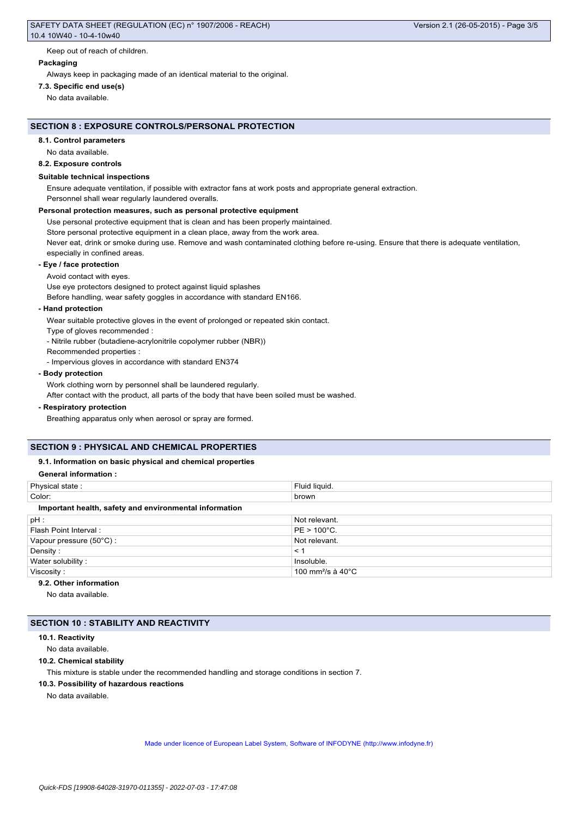Keep out of reach of children.

#### **Packaging**

Always keep in packaging made of an identical material to the original.

### **7.3. Specific end use(s)**

No data available.

### **SECTION 8 : EXPOSURE CONTROLS/PERSONAL PROTECTION**

### **8.1. Control parameters**

No data available.

#### **8.2. Exposure controls**

#### **Suitable technical inspections**

Ensure adequate ventilation, if possible with extractor fans at work posts and appropriate general extraction. Personnel shall wear regularly laundered overalls.

#### **Personal protection measures, such as personal protective equipment**

Use personal protective equipment that is clean and has been properly maintained.

Store personal protective equipment in a clean place, away from the work area.

Never eat, drink or smoke during use. Remove and wash contaminated clothing before re-using. Ensure that there is adequate ventilation, especially in confined areas.

#### **- Eye / face protection**

Avoid contact with eyes.

Use eye protectors designed to protect against liquid splashes

Before handling, wear safety goggles in accordance with standard EN166.

### **- Hand protection**

Wear suitable protective gloves in the event of prolonged or repeated skin contact.

Type of gloves recommended :

- Nitrile rubber (butadiene-acrylonitrile copolymer rubber (NBR))

- Recommended properties :
- Impervious gloves in accordance with standard EN374
- **Body protection**

Work clothing worn by personnel shall be laundered regularly.

After contact with the product, all parts of the body that have been soiled must be washed.

### **- Respiratory protection**

Breathing apparatus only when aerosol or spray are formed.

#### **SECTION 9 : PHYSICAL AND CHEMICAL PROPERTIES**

# **9.1. Information on basic physical and chemical properties**

# **General information :**

| Physical state:                                        | Fluid liquid.                            |
|--------------------------------------------------------|------------------------------------------|
| Color:                                                 | brown                                    |
| Important health, safety and environmental information |                                          |
| pH :                                                   | Not relevant.                            |
| Flash Point Interval:                                  | $PE > 100^{\circ}C$ .                    |
| Vapour pressure (50°C) :                               | Not relevant.                            |
| Density:                                               | < 1                                      |
| Water solubility:                                      | Insoluble.                               |
| Viscosity:                                             | 100 mm <sup>2</sup> /s à 40 $^{\circ}$ C |
|                                                        |                                          |

#### **9.2. Other information**

No data available.

### **SECTION 10 : STABILITY AND REACTIVITY**

#### **10.1. Reactivity**

No data available.

#### **10.2. Chemical stability**

This mixture is stable under the recommended handling and storage conditions in section 7.

### **10.3. Possibility of hazardous reactions**

No data available.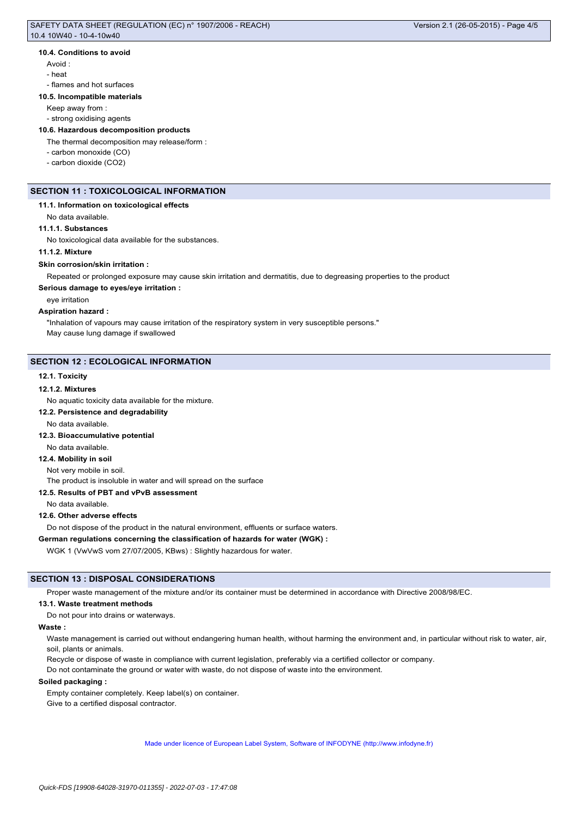#### **10.4. Conditions to avoid**

Avoid :

- heat

- flames and hot surfaces

# **10.5. Incompatible materials**

Keep away from :

- strong oxidising agents

# **10.6. Hazardous decomposition products**

The thermal decomposition may release/form :

- carbon monoxide (CO)
- carbon dioxide (CO2)

### **SECTION 11 : TOXICOLOGICAL INFORMATION**

### **11.1. Information on toxicological effects**

No data available.

### **11.1.1. Substances**

No toxicological data available for the substances.

# **11.1.2. Mixture**

### **Skin corrosion/skin irritation :**

Repeated or prolonged exposure may cause skin irritation and dermatitis, due to degreasing properties to the product

**Serious damage to eyes/eye irritation :**

### eye irritation

### **Aspiration hazard :**

"Inhalation of vapours may cause irritation of the respiratory system in very susceptible persons." May cause lung damage if swallowed

### **SECTION 12 : ECOLOGICAL INFORMATION**

### **12.1. Toxicity**

### **12.1.2. Mixtures**

No aquatic toxicity data available for the mixture.

**12.2. Persistence and degradability**

No data available.

**12.3. Bioaccumulative potential**

# No data available.

**12.4. Mobility in soil**

Not very mobile in soil.

The product is insoluble in water and will spread on the surface

**12.5. Results of PBT and vPvB assessment**

No data available.

### **12.6. Other adverse effects**

Do not dispose of the product in the natural environment, effluents or surface waters.

**German regulations concerning the classification of hazards for water (WGK) :**

WGK 1 (VwVwS vom 27/07/2005, KBws) : Slightly hazardous for water.

### **SECTION 13 : DISPOSAL CONSIDERATIONS**

Proper waste management of the mixture and/or its container must be determined in accordance with Directive 2008/98/EC.

# **13.1. Waste treatment methods**

Do not pour into drains or waterways.

### **Waste :**

Waste management is carried out without endangering human health, without harming the environment and, in particular without risk to water, air, soil, plants or animals.

Recycle or dispose of waste in compliance with current legislation, preferably via a certified collector or company.

Do not contaminate the ground or water with waste, do not dispose of waste into the environment.

### **Soiled packaging :**

Empty container completely. Keep label(s) on container.

Give to a certified disposal contractor.